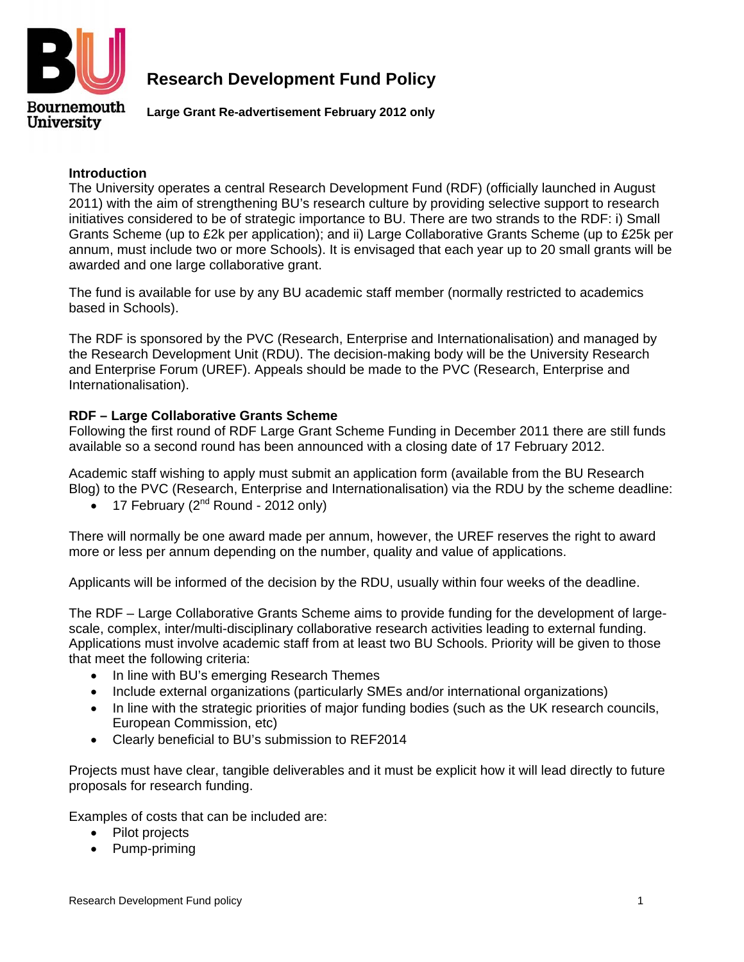

## **Research Development Fund Policy**

**Large Grant Re-advertisement February 2012 only** 

## **Introduction**

The University operates a central Research Development Fund (RDF) (officially launched in August 2011) with the aim of strengthening BU's research culture by providing selective support to research initiatives considered to be of strategic importance to BU. There are two strands to the RDF: i) Small Grants Scheme (up to £2k per application); and ii) Large Collaborative Grants Scheme (up to £25k per annum, must include two or more Schools). It is envisaged that each year up to 20 small grants will be awarded and one large collaborative grant.

The fund is available for use by any BU academic staff member (normally restricted to academics based in Schools).

The RDF is sponsored by the PVC (Research, Enterprise and Internationalisation) and managed by the Research Development Unit (RDU). The decision-making body will be the University Research and Enterprise Forum (UREF). Appeals should be made to the PVC (Research, Enterprise and Internationalisation).

## **RDF – Large Collaborative Grants Scheme**

Following the first round of RDF Large Grant Scheme Funding in December 2011 there are still funds available so a second round has been announced with a closing date of 17 February 2012.

Academic staff wishing to apply must submit an application form (available from the BU Research Blog) to the PVC (Research, Enterprise and Internationalisation) via the RDU by the scheme deadline:

• 17 February  $(2^{nd}$  Round - 2012 only)

There will normally be one award made per annum, however, the UREF reserves the right to award more or less per annum depending on the number, quality and value of applications.

Applicants will be informed of the decision by the RDU, usually within four weeks of the deadline.

The RDF – Large Collaborative Grants Scheme aims to provide funding for the development of largescale, complex, inter/multi-disciplinary collaborative research activities leading to external funding. Applications must involve academic staff from at least two BU Schools. Priority will be given to those that meet the following criteria:

- In line with BU's emerging Research Themes
- Include external organizations (particularly SMEs and/or international organizations)
- In line with the strategic priorities of major funding bodies (such as the UK research councils, European Commission, etc)
- Clearly beneficial to BU's submission to REF2014

Projects must have clear, tangible deliverables and it must be explicit how it will lead directly to future proposals for research funding.

Examples of costs that can be included are:

- Pilot projects
- Pump-priming